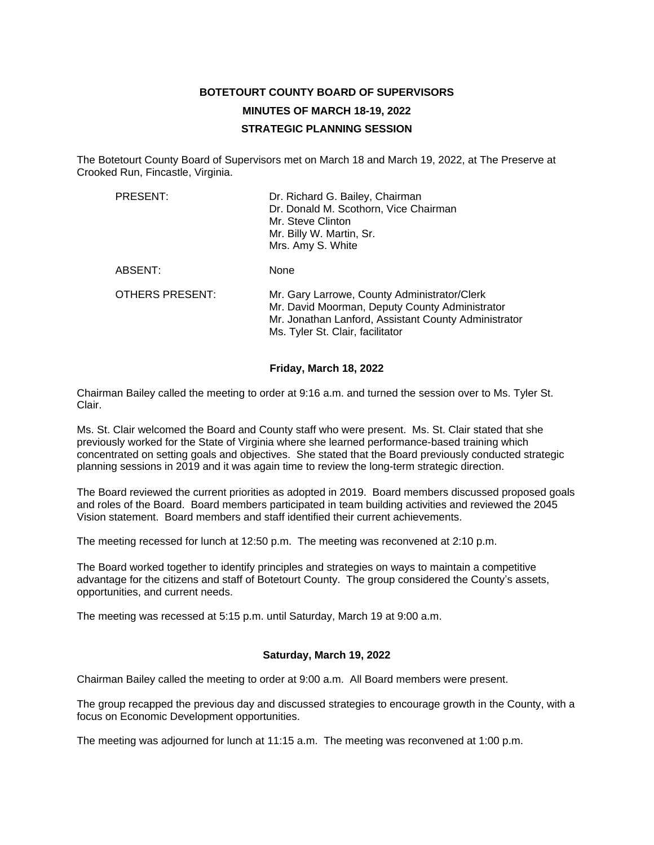## **BOTETOURT COUNTY BOARD OF SUPERVISORS MINUTES OF MARCH 18-19, 2022 STRATEGIC PLANNING SESSION**

The Botetourt County Board of Supervisors met on March 18 and March 19, 2022, at The Preserve at Crooked Run, Fincastle, Virginia.

| PRESENT:               | Dr. Richard G. Bailey, Chairman<br>Dr. Donald M. Scothorn, Vice Chairman<br>Mr. Steve Clinton<br>Mr. Billy W. Martin, Sr.<br>Mrs. Amy S. White                                             |
|------------------------|--------------------------------------------------------------------------------------------------------------------------------------------------------------------------------------------|
| ABSENT:                | None                                                                                                                                                                                       |
| <b>OTHERS PRESENT:</b> | Mr. Gary Larrowe, County Administrator/Clerk<br>Mr. David Moorman, Deputy County Administrator<br>Mr. Jonathan Lanford, Assistant County Administrator<br>Ms. Tyler St. Clair, facilitator |

## **Friday, March 18, 2022**

Chairman Bailey called the meeting to order at 9:16 a.m. and turned the session over to Ms. Tyler St. Clair.

Ms. St. Clair welcomed the Board and County staff who were present. Ms. St. Clair stated that she previously worked for the State of Virginia where she learned performance-based training which concentrated on setting goals and objectives. She stated that the Board previously conducted strategic planning sessions in 2019 and it was again time to review the long-term strategic direction.

The Board reviewed the current priorities as adopted in 2019. Board members discussed proposed goals and roles of the Board. Board members participated in team building activities and reviewed the 2045 Vision statement. Board members and staff identified their current achievements.

The meeting recessed for lunch at 12:50 p.m. The meeting was reconvened at 2:10 p.m.

The Board worked together to identify principles and strategies on ways to maintain a competitive advantage for the citizens and staff of Botetourt County. The group considered the County's assets, opportunities, and current needs.

The meeting was recessed at 5:15 p.m. until Saturday, March 19 at 9:00 a.m.

## **Saturday, March 19, 2022**

Chairman Bailey called the meeting to order at 9:00 a.m. All Board members were present.

The group recapped the previous day and discussed strategies to encourage growth in the County, with a focus on Economic Development opportunities.

The meeting was adjourned for lunch at 11:15 a.m. The meeting was reconvened at 1:00 p.m.